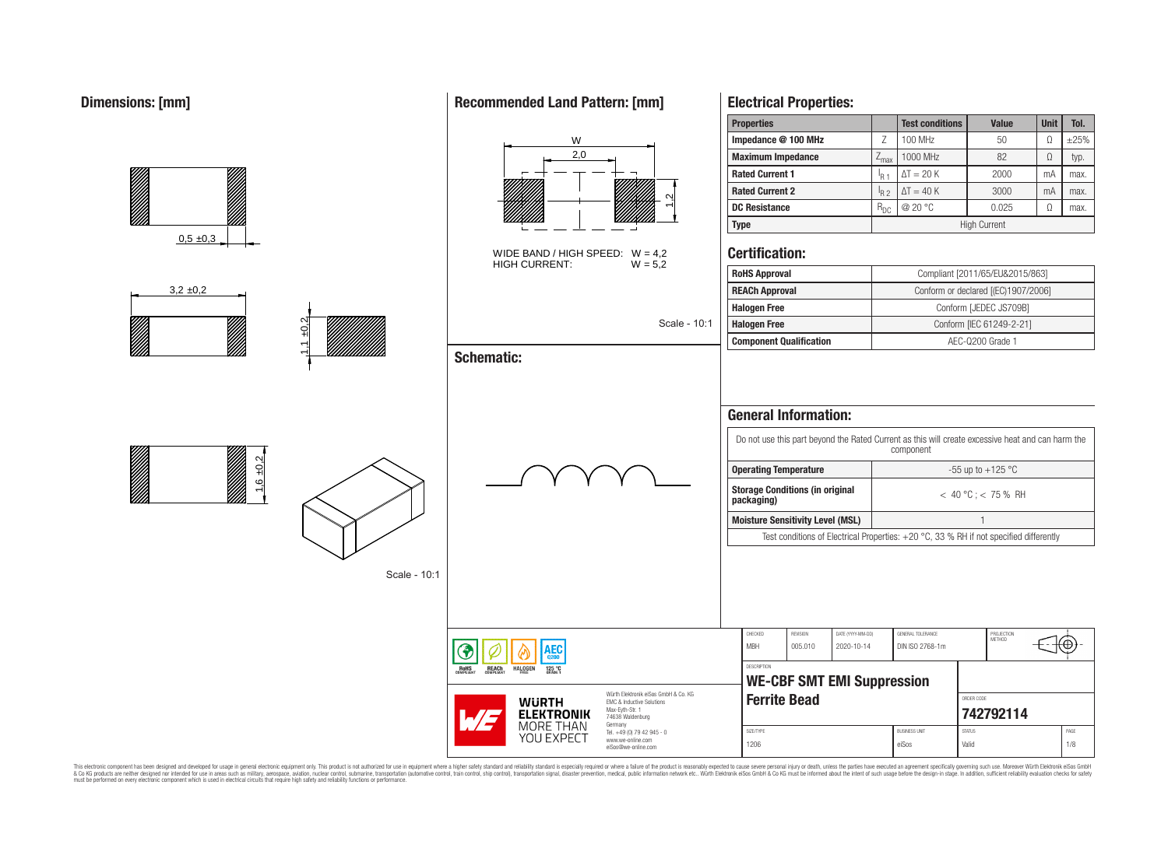## **Dimensions: [mm]**

|                                                                                                                                                                                                                                               |                          |                                                       |                                                                                                                     | <b>Properties</b>              |                                                                                                                                                                               |                                 | <b>Test conditions</b>               | Value                                                                                  | Unit     | Tol.        |
|-----------------------------------------------------------------------------------------------------------------------------------------------------------------------------------------------------------------------------------------------|--------------------------|-------------------------------------------------------|---------------------------------------------------------------------------------------------------------------------|--------------------------------|-------------------------------------------------------------------------------------------------------------------------------------------------------------------------------|---------------------------------|--------------------------------------|----------------------------------------------------------------------------------------|----------|-------------|
|                                                                                                                                                                                                                                               |                          | W                                                     |                                                                                                                     | Impedance @ 100 MHz            |                                                                                                                                                                               | $\mathsf Z$                     | 100 MHz                              | 50                                                                                     | $\Omega$ | $\pm 25\%$  |
|                                                                                                                                                                                                                                               |                          | 2,0                                                   |                                                                                                                     | <b>Maximum Impedance</b>       |                                                                                                                                                                               | $Z_{\text{max}}$                | 1000 MHz                             | 82                                                                                     | $\Omega$ | typ.        |
|                                                                                                                                                                                                                                               |                          |                                                       |                                                                                                                     | <b>Rated Current 1</b>         |                                                                                                                                                                               | $I_{R1}$                        | $\Delta T = 20 K$                    | 2000                                                                                   | mA       | max.        |
|                                                                                                                                                                                                                                               |                          |                                                       |                                                                                                                     | <b>Rated Current 2</b>         |                                                                                                                                                                               | $I_{R2}$                        | $\Delta T = 40 K$                    | 3000                                                                                   | mA       | max.        |
|                                                                                                                                                                                                                                               |                          |                                                       |                                                                                                                     | <b>DC Resistance</b>           |                                                                                                                                                                               | $R_{\mathrm{DC}}$               | @ 20 °C                              | 0.025                                                                                  | $\Omega$ | max.        |
|                                                                                                                                                                                                                                               |                          |                                                       |                                                                                                                     | <b>Type</b>                    |                                                                                                                                                                               |                                 |                                      | <b>High Current</b>                                                                    |          |             |
| 0,5,±0,3                                                                                                                                                                                                                                      |                          | WIDE BAND / HIGH SPEED: $W = 4.2$<br>HIGH CURRENT:    | $W = 5.2$                                                                                                           | <b>Certification:</b>          |                                                                                                                                                                               |                                 |                                      |                                                                                        |          |             |
|                                                                                                                                                                                                                                               |                          |                                                       |                                                                                                                     | <b>RoHS Approval</b>           |                                                                                                                                                                               |                                 |                                      | Compliant [2011/65/EU&2015/863]                                                        |          |             |
| $3,2 \pm 0,2$                                                                                                                                                                                                                                 |                          |                                                       |                                                                                                                     | <b>REACh Approval</b>          |                                                                                                                                                                               |                                 |                                      | Conform or declared [(EC)1907/2006]                                                    |          |             |
|                                                                                                                                                                                                                                               |                          |                                                       |                                                                                                                     | <b>Halogen Free</b>            |                                                                                                                                                                               |                                 |                                      | Conform [JEDEC JS709B]                                                                 |          |             |
| $\frac{2}{2}$                                                                                                                                                                                                                                 |                          |                                                       | Scale - 10:1                                                                                                        | <b>Halogen Free</b>            |                                                                                                                                                                               |                                 |                                      | Conform [IEC 61249-2-21]                                                               |          |             |
| 1,1                                                                                                                                                                                                                                           |                          |                                                       |                                                                                                                     | <b>Component Qualification</b> |                                                                                                                                                                               |                                 |                                      | AEC-Q200 Grade 1                                                                       |          |             |
|                                                                                                                                                                                                                                               |                          | <b>Schematic:</b>                                     |                                                                                                                     |                                | <b>General Information:</b>                                                                                                                                                   |                                 |                                      |                                                                                        |          |             |
| e de la facta de la facta de la facta de la facta de la facta de la facta de la facta de la facta de la facta<br>La facta de la facta de la facta de la facta de la facta de la facta de la facta de la facta de la facta de l<br>$1,6 + 0.2$ |                          |                                                       |                                                                                                                     |                                | Do not use this part beyond the Rated Current as this will create excessive heat and can harm the<br>component<br><b>Operating Temperature</b><br>-55 up to +125 $^{\circ}$ C |                                 |                                      |                                                                                        |          |             |
|                                                                                                                                                                                                                                               |                          |                                                       |                                                                                                                     | packaging)                     | <b>Storage Conditions (in original</b>                                                                                                                                        |                                 |                                      | $< 40 °C$ ; $< 75 %$ RH                                                                |          |             |
|                                                                                                                                                                                                                                               |                          |                                                       |                                                                                                                     |                                | <b>Moisture Sensitivity Level (MSL)</b>                                                                                                                                       |                                 |                                      | $\overline{1}$                                                                         |          |             |
|                                                                                                                                                                                                                                               |                          |                                                       |                                                                                                                     |                                |                                                                                                                                                                               |                                 |                                      | Test conditions of Electrical Properties: +20 °C, 33 % RH if not specified differently |          |             |
|                                                                                                                                                                                                                                               | Scale - 10:1             |                                                       |                                                                                                                     |                                |                                                                                                                                                                               |                                 |                                      |                                                                                        |          |             |
|                                                                                                                                                                                                                                               | ◈                        | AEC <sub>Q200</sub>                                   |                                                                                                                     | CHECKED<br>MBH                 | REVISION<br>005.010                                                                                                                                                           | DATE (YYYY-MM-DD)<br>2020-10-14 | GENERAL TOLERANCE<br>DIN ISO 2768-1m | PROJECTION<br>METHOD                                                                   |          | ⊕           |
|                                                                                                                                                                                                                                               | <b>ROHS</b><br>COMPLIANT | <b>HALOGEN</b><br><b>REACH</b><br>COMPLIANT<br>125 °C |                                                                                                                     | DESCRIPTION                    |                                                                                                                                                                               |                                 |                                      |                                                                                        |          |             |
|                                                                                                                                                                                                                                               |                          |                                                       |                                                                                                                     |                                | <b>WE-CBF SMT EMI Suppression</b>                                                                                                                                             |                                 |                                      |                                                                                        |          |             |
|                                                                                                                                                                                                                                               |                          | <b>WURTH</b><br><b>ELEKTRONIK</b><br>5/5              | Würth Elektronik eiSos GmbH & Co. KG<br>EMC & Inductive Solutions<br>Max-Eyth-Str. 1<br>74638 Waldenburg<br>Germany | <b>Ferrite Bead</b>            |                                                                                                                                                                               |                                 |                                      | ORDER CODE<br>742792114                                                                |          |             |
|                                                                                                                                                                                                                                               |                          | MORE THAN<br>YOU EXPECT                               | Tel. +49 (0) 79 42 945 - 0<br>www.we-online.com<br>eiSos@we-online.com                                              | SIZE/TYPE<br>1206              |                                                                                                                                                                               |                                 | <b>BUSINESS UNIT</b><br>eiSos        | <b>STATUS</b><br>Valid                                                                 |          | PAGE<br>1/8 |

This electronic component has been designed and developed for usage in general electronic equipment only. This product is not authorized for subserved requipment where a higher selection equipment where a higher selection

## **Recommended Land Pattern: [mm]**

**Electrical Properties:**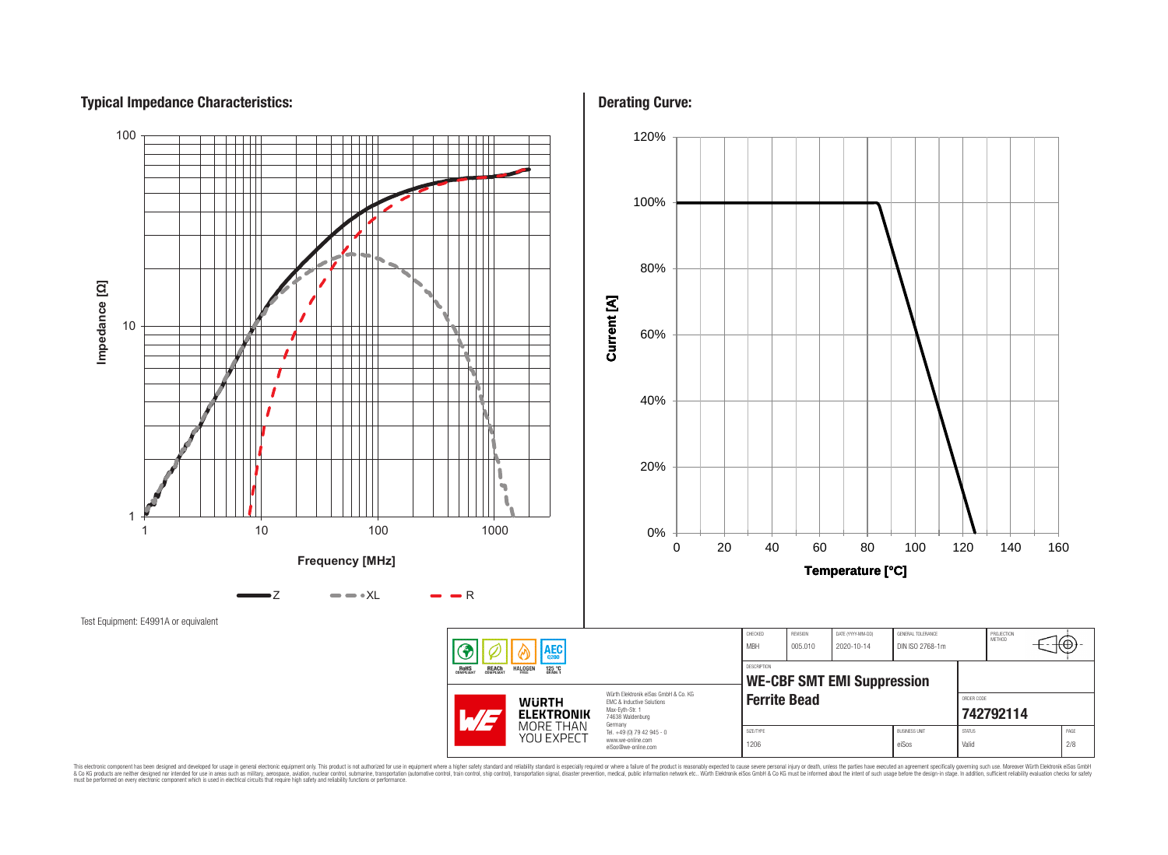# **Typical Impedance Characteristics:**



This electronic component has been designed and developed for usage in general electronic equipment only. This product is not authorized for subserved requipment where a higher selection equipment where a higher selection

**Derating Curve:**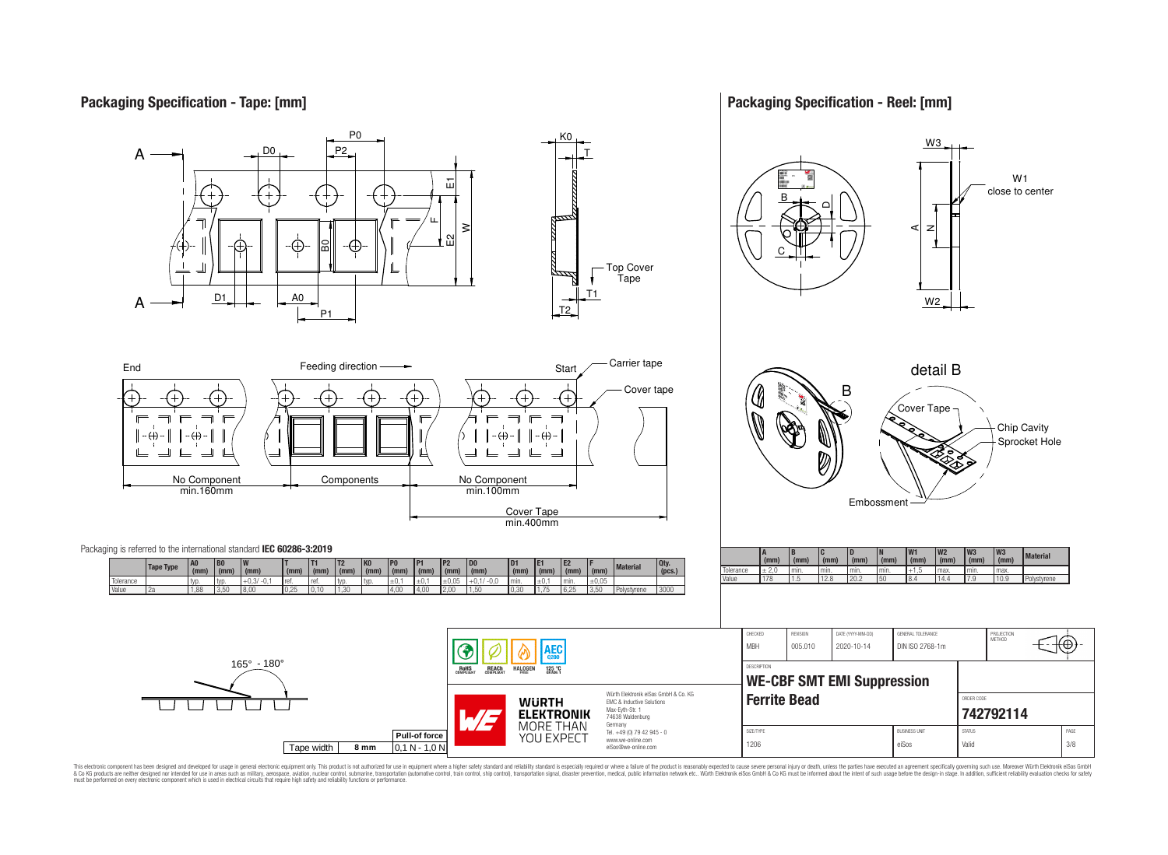## **Packaging Specification - Tape: [mm]**

**Packaging Specification - Reel: [mm]**



This electronic component has been designed and developed for usage in general electronic equipment only. This product is not authorized for use in equipment where a higher safely standard and reliability standard si espec & Ook product a label and the membed of the seasuch as marked and as which such a membed and the such assume that income in the seasuch and the simulation and the such assume that include to the such a membed and the such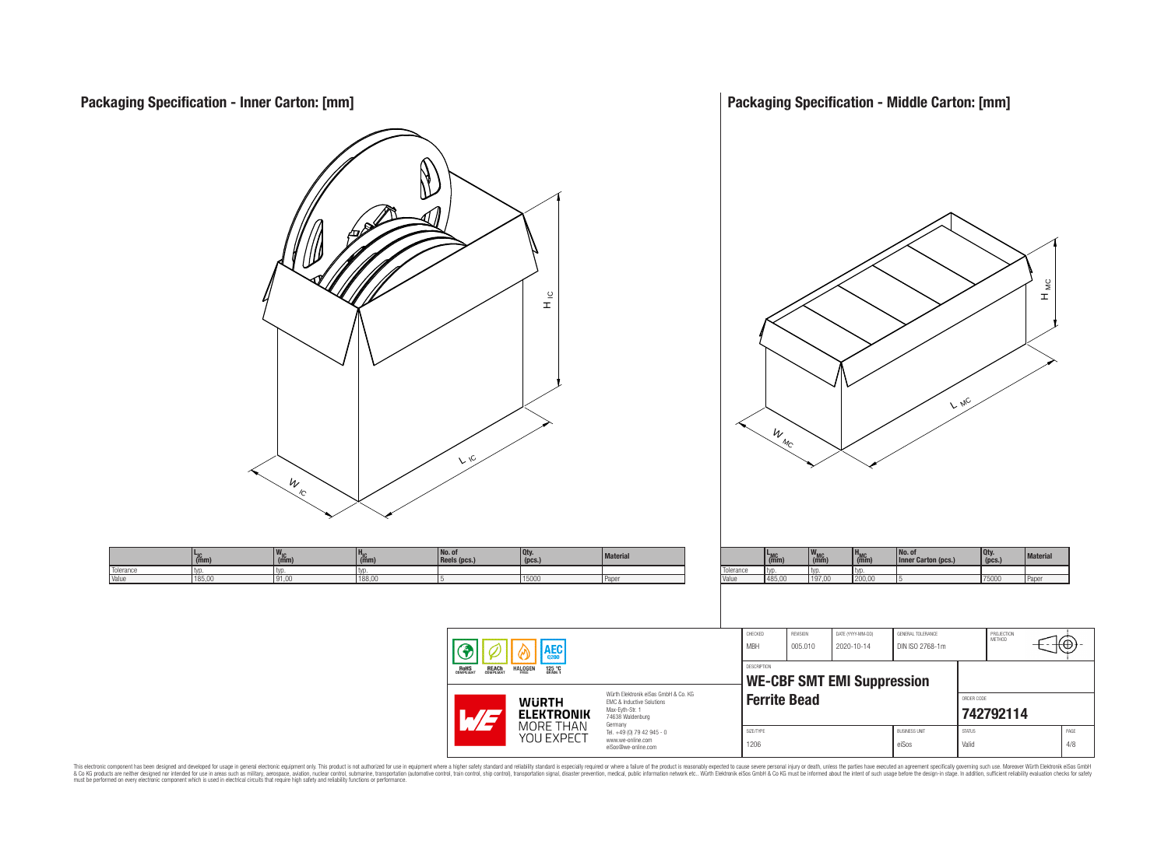

This electronic component has been designed and developed for usage in general electronic equipment only. This product is not authorized for subserved requipment where a higher selection equipment where a higher selection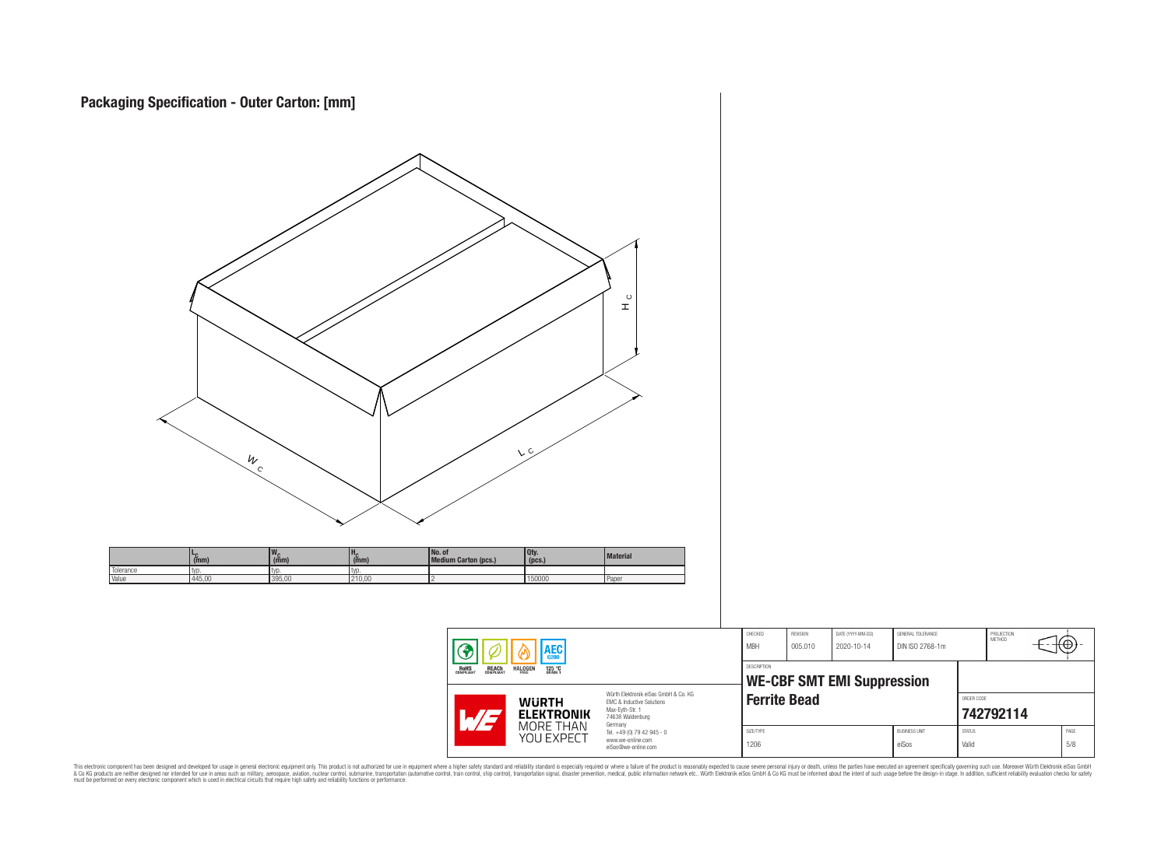| $\frac{W_{c}}{C}$                                                                                                                                 | V <sub>C</sub>                                                                                                                                                                            | $\mathop{\mathbb{L}}\limits^{\circ}$                                                                                                              |                                                                                                                                              |                                 |                                                              |                                                                             |                                     |
|---------------------------------------------------------------------------------------------------------------------------------------------------|-------------------------------------------------------------------------------------------------------------------------------------------------------------------------------------------|---------------------------------------------------------------------------------------------------------------------------------------------------|----------------------------------------------------------------------------------------------------------------------------------------------|---------------------------------|--------------------------------------------------------------|-----------------------------------------------------------------------------|-------------------------------------|
| $w_c$ <sub>(mm)</sub><br>$H_C$ <sub>(mm)</sub><br>$L_{\text{C}}$ (mm)<br>Tolerance<br>typ.<br>typ.<br>typ.<br>Value<br>445,00<br>395,00<br>210,00 | No. of<br>Medium Carton (pcs.)<br>Qty.<br>(pcs.)<br>150000<br>Paper                                                                                                                       | Material                                                                                                                                          |                                                                                                                                              |                                 |                                                              |                                                                             |                                     |
|                                                                                                                                                   | $  \circledast$<br>AEC <sub>q200</sub><br>ၑ<br><b>ROHS</b><br>COMPLIANT<br><b>REACH</b><br>COMPLIANT<br>HALOGEN<br>125 °C<br><b>WÜRTH<br/>ELEKTRONIK</b><br>MORE THAN<br>YOU EXPECT<br>WE | Würth Elektronik eiSos GmbH & Co. KG<br>EMC & Inductive Solutions<br>Max-Eyth-Str. 1<br>74638 Waldenburg<br>Germany<br>Tel. +49 (0) 79 42 945 - 0 | ${\tt CHECKED}$<br>REVISION<br><b>MBH</b><br>005.010<br>DESCRIPTION<br><b>WE-CBF SMT EMI Suppression</b><br><b>Ferrite Bead</b><br>SIZE/TYPE | DATE (YYYY-MM-DD)<br>2020-10-14 | GENERAL TOLERANCE<br>DIN ISO 2768-1m<br><b>BUSINESS UNIT</b> | PROJECTION<br>METHOD<br>ORDER CODE<br>742792114<br>$\text{STAT}\,\text{US}$ | -70<br>$\ensuremath{\mathsf{PAGE}}$ |
|                                                                                                                                                   |                                                                                                                                                                                           | www.we-online.com<br>eiSos@we-online.com                                                                                                          | 1206                                                                                                                                         |                                 | eiSos                                                        | Valid                                                                       | $5/8$                               |

This electronic component has been designed and developed for usage in general electronic equipment only. This product is not authorized for subserved requipment where a higher selection equipment where a higher selection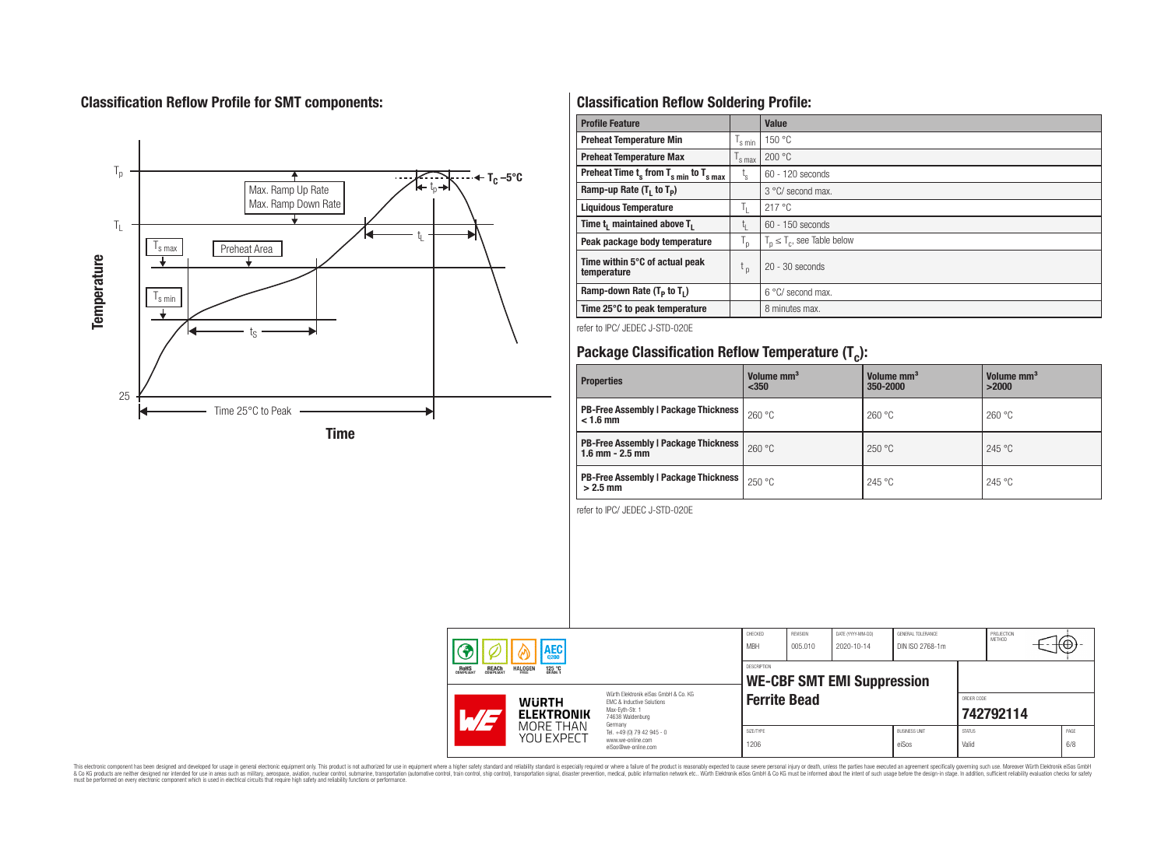# **Classification Reflow Profile for SMT components:**



# **Classification Reflow Soldering Profile:**

| <b>Profile Feature</b>                              |                           | Value                            |
|-----------------------------------------------------|---------------------------|----------------------------------|
| <b>Preheat Temperature Min</b>                      | 's min                    | 150 °C                           |
| <b>Preheat Temperature Max</b>                      | <sup>I</sup> s max        | 200 °C                           |
| Preheat Time $t_s$ from $T_{s,min}$ to $T_{s,max}$  | $t_{\rm s}$               | $60 - 120$ seconds               |
| Ramp-up Rate $(T_1$ to $T_p$ )                      |                           | 3 °C/ second max.                |
| <b>Liquidous Temperature</b>                        | ъ.                        | 217 °C                           |
| Time t <sub>i</sub> maintained above T <sub>1</sub> | t,                        | $60 - 150$ seconds               |
| Peak package body temperature                       | $\mathsf{I}_{\mathsf{D}}$ | $T_p \leq T_c$ , see Table below |
| Time within 5°C of actual peak<br>temperature       | t <sub>p</sub>            | $20 - 30$ seconds                |
| Ramp-down Rate $(T_p$ to $T_1$ )                    |                           | $6^{\circ}$ C/ second max.       |
| Time 25°C to peak temperature                       |                           | 8 minutes max.                   |

refer to IPC/ JEDEC J-STD-020E

# **Package Classification Reflow Temperature (T<sup>c</sup> ):**

| <b>Properties</b>                                                    | Volume mm <sup>3</sup><br>$350$ | Volume mm <sup>3</sup><br>350-2000 | Volume mm <sup>3</sup><br>>2000 |
|----------------------------------------------------------------------|---------------------------------|------------------------------------|---------------------------------|
| <b>PB-Free Assembly   Package Thickness  </b><br>$< 1.6$ mm          | 260 °C                          | 260 °C                             | 260 °C                          |
| <b>PB-Free Assembly   Package Thickness  </b><br>$1.6$ mm $- 2.5$ mm | 260 °C                          | 250 °C                             | 245 °C                          |
| <b>PB-Free Assembly   Package Thickness  </b><br>$>2.5$ mm           | 250 °C                          | 245 °C                             | 245 °C                          |

refer to IPC/ JEDEC J-STD-020E

|                                                                  | AEC                     |                                                                                                                     | CHECKED<br><b>MBH</b> | <b>REVISION</b><br>005.010 | DATE (YYYY-MM-DD)<br>2020-10-14   | GENERAL TOLERANCE<br>DIN ISO 2768-1m |                        | PROJECTION<br><b>METHOD</b> | ₩           |
|------------------------------------------------------------------|-------------------------|---------------------------------------------------------------------------------------------------------------------|-----------------------|----------------------------|-----------------------------------|--------------------------------------|------------------------|-----------------------------|-------------|
| <b>REACH</b><br>COMPLIANT<br><b>HALOGEN</b><br>ROHS<br>COMPLIANT | 125 °C                  |                                                                                                                     | DESCRIPTION           |                            | <b>WE-CBF SMT EMI Suppression</b> |                                      |                        |                             |             |
| <b>WURTH</b><br>$.71 -$                                          | <b>ELEKTRONIK</b>       | Würth Flektronik eiSos GmbH & Co. KG<br>EMC & Inductive Solutions<br>Max-Eyth-Str. 1<br>74638 Waldenburg<br>Germany | <b>Ferrite Bead</b>   |                            |                                   |                                      | ORDER CODE             | 742792114                   |             |
|                                                                  | MORE THAN<br>YOU EXPECT | Tel. +49 (0) 79 42 945 - 0<br>www.we-online.com<br>eiSos@we-online.com                                              | SIZE/TYPE<br>1206     |                            |                                   | <b>BUSINESS UNIT</b><br>eiSos        | <b>STATUS</b><br>Valid |                             | PAGE<br>6/8 |

This electronic component has been designed and developed for usage in general electronic equipment only. This product is not authorized for subserved requipment where a higher selection equipment where a higher selection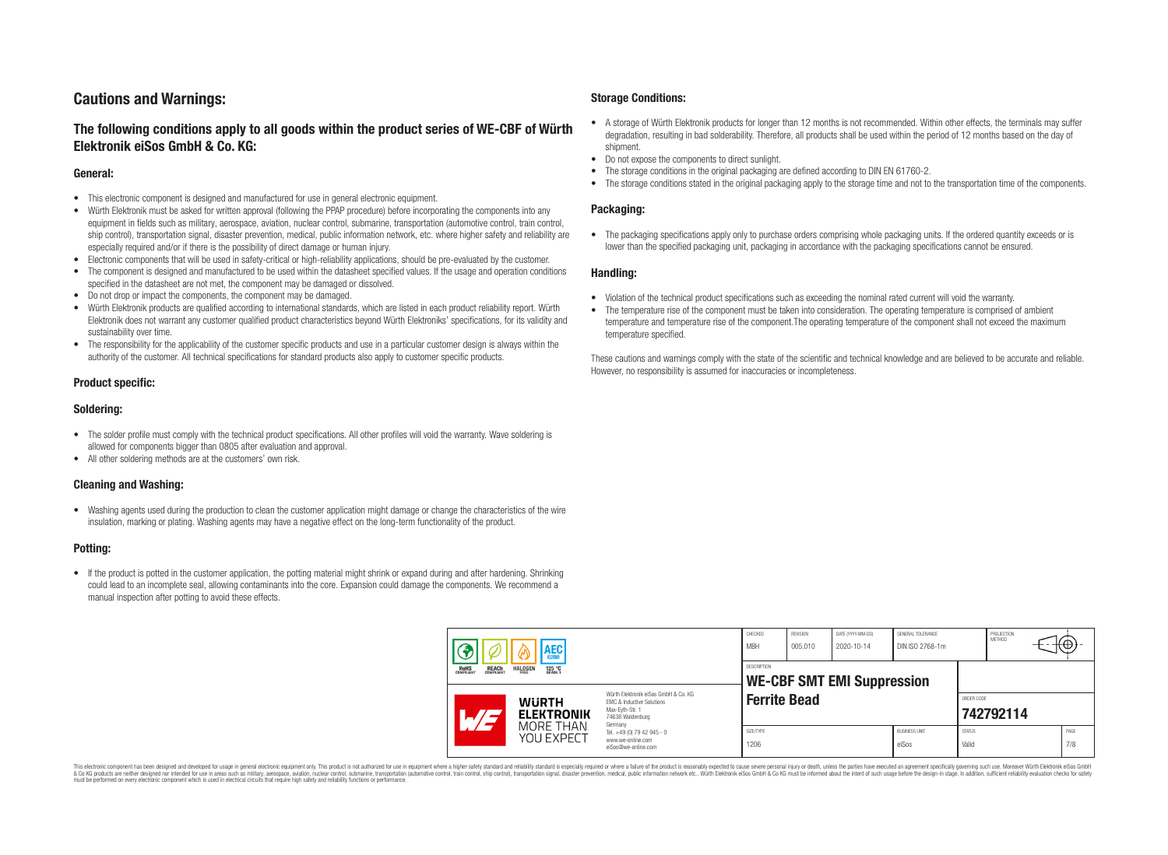## **Cautions and Warnings:**

## **The following conditions apply to all goods within the product series of WE-CBF of Würth Elektronik eiSos GmbH & Co. KG:**

#### **General:**

- This electronic component is designed and manufactured for use in general electronic equipment.
- Würth Elektronik must be asked for written approval (following the PPAP procedure) before incorporating the components into any equipment in fields such as military, aerospace, aviation, nuclear control, submarine, transportation (automotive control, train control, ship control), transportation signal, disaster prevention, medical, public information network, etc. where higher safety and reliability are especially required and/or if there is the possibility of direct damage or human injury.
- Electronic components that will be used in safety-critical or high-reliability applications, should be pre-evaluated by the customer.
- The component is designed and manufactured to be used within the datasheet specified values. If the usage and operation conditions specified in the datasheet are not met, the component may be damaged or dissolved.
- Do not drop or impact the components, the component may be damaged.
- Würth Elektronik products are qualified according to international standards, which are listed in each product reliability report. Würth Elektronik does not warrant any customer qualified product characteristics beyond Würth Elektroniks' specifications, for its validity and sustainability over time.
- The responsibility for the applicability of the customer specific products and use in a particular customer design is always within the authority of the customer. All technical specifications for standard products also apply to customer specific products.

#### **Product specific:**

#### **Soldering:**

- The solder profile must comply with the technical product specifications. All other profiles will void the warranty. Wave soldering is allowed for components bigger than 0805 after evaluation and approval.
- All other soldering methods are at the customers' own risk.

#### **Cleaning and Washing:**

• Washing agents used during the production to clean the customer application might damage or change the characteristics of the wire insulation, marking or plating. Washing agents may have a negative effect on the long-term functionality of the product.

#### **Potting:**

• If the product is potted in the customer application, the potting material might shrink or expand during and after hardening. Shrinking could lead to an incomplete seal, allowing contaminants into the core. Expansion could damage the components. We recommend a manual inspection after potting to avoid these effects.

#### **Storage Conditions:**

- A storage of Würth Elektronik products for longer than 12 months is not recommended. Within other effects, the terminals may suffer degradation, resulting in bad solderability. Therefore, all products shall be used within the period of 12 months based on the day of shipment.
- Do not expose the components to direct sunlight.<br>• The storage conditions in the original packaging
- The storage conditions in the original packaging are defined according to DIN EN 61760-2.
- The storage conditions stated in the original packaging apply to the storage time and not to the transportation time of the components.

#### **Packaging:**

• The packaging specifications apply only to purchase orders comprising whole packaging units. If the ordered quantity exceeds or is lower than the specified packaging unit, packaging in accordance with the packaging specifications cannot be ensured.

#### **Handling:**

- Violation of the technical product specifications such as exceeding the nominal rated current will void the warranty.
- The temperature rise of the component must be taken into consideration. The operating temperature is comprised of ambient temperature and temperature rise of the component.The operating temperature of the component shall not exceed the maximum temperature specified.

These cautions and warnings comply with the state of the scientific and technical knowledge and are believed to be accurate and reliable. However, no responsibility is assumed for inaccuracies or incompleteness.

| AEC                                                   |                                             | CHECKED<br><b>MBH</b>                                                                                                          | REVISION<br>005.010 | DATE (YYYY-MM-DD)<br>2020-10-14 | GENERAL TOLERANCE<br>DIN ISO 2768-1m |                               | PROJECTION<br>METHOD   | ₩         |             |
|-------------------------------------------------------|---------------------------------------------|--------------------------------------------------------------------------------------------------------------------------------|---------------------|---------------------------------|--------------------------------------|-------------------------------|------------------------|-----------|-------------|
| <b>REACH</b><br>COMPLIANT<br><b>ROHS</b><br>COMPLIANT | <b>HALOGEN</b><br>125 °C<br>Grade 1<br>FRFF |                                                                                                                                | <b>DESCRIPTION</b>  |                                 | <b>WE-CBF SMT EMI Suppression</b>    |                               |                        |           |             |
|                                                       | <b>WURTH</b><br><b>ELEKTRONIK</b>           | Würth Elektronik eiSos GmbH & Co. KG<br><b>EMC &amp; Inductive Solutions</b><br>Max-Eyth-Str. 1<br>74638 Waldenburg<br>Germany | <b>Ferrite Bead</b> |                                 |                                      |                               | ORDER CODE             | 742792114 |             |
|                                                       | MORE THAN<br>YOU EXPECT                     | Tel. +49 (0) 79 42 945 - 0<br>www.we-online.com<br>eiSos@we-online.com                                                         | SIZE/TYPE<br>1206   |                                 |                                      | <b>BUSINESS UNIT</b><br>eiSos | <b>STATUS</b><br>Valid |           | PAGE<br>7/8 |

This electronic component has been designed and developed for usage in general electronic equipment only. This product is not authorized for use in equipment where a higher safety standard and reliability standard si espec & Ook product a label and the membed of the seasuch as marked and as which such a membed and the such assume that income in the seasuch and the simulation and the such assume that include to the such a membed and the such